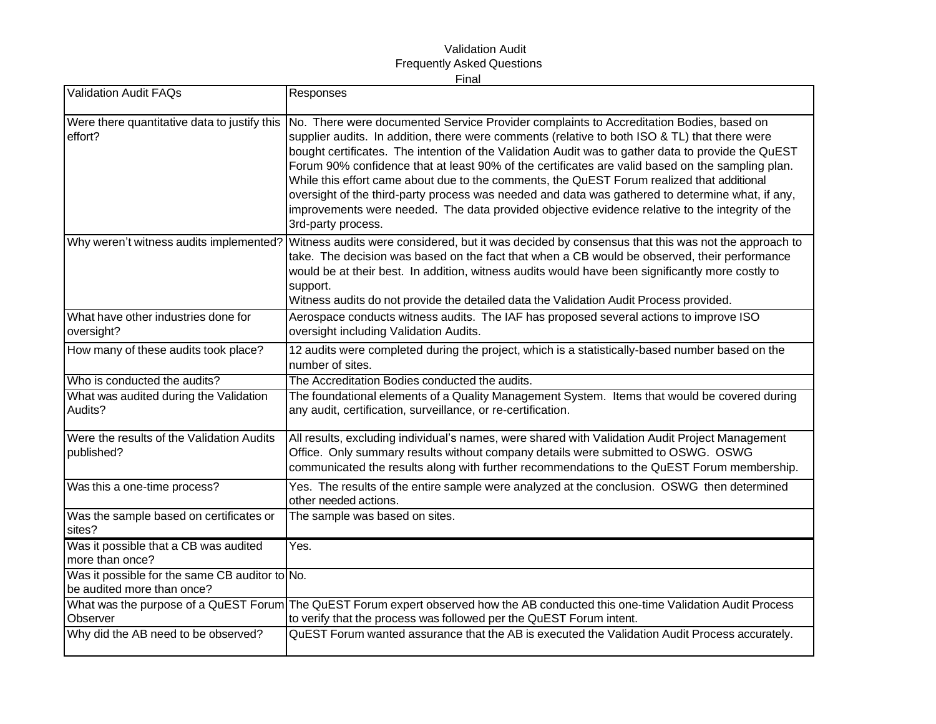## Validation Audit Frequently Asked Questions Final

| <b>Validation Audit FAQs</b>                                                 | Responses                                                                                                                                                                                                                                                                                                                                                                                                                                                                                                                                                                                                                                                                                                                     |
|------------------------------------------------------------------------------|-------------------------------------------------------------------------------------------------------------------------------------------------------------------------------------------------------------------------------------------------------------------------------------------------------------------------------------------------------------------------------------------------------------------------------------------------------------------------------------------------------------------------------------------------------------------------------------------------------------------------------------------------------------------------------------------------------------------------------|
| Were there quantitative data to justify this<br>effort?                      | No. There were documented Service Provider complaints to Accreditation Bodies, based on<br>supplier audits. In addition, there were comments (relative to both ISO & TL) that there were<br>bought certificates. The intention of the Validation Audit was to gather data to provide the QuEST<br>Forum 90% confidence that at least 90% of the certificates are valid based on the sampling plan.<br>While this effort came about due to the comments, the QuEST Forum realized that additional<br>oversight of the third-party process was needed and data was gathered to determine what, if any,<br>improvements were needed. The data provided objective evidence relative to the integrity of the<br>3rd-party process. |
| Why weren't witness audits implemented?                                      | Witness audits were considered, but it was decided by consensus that this was not the approach to<br>take. The decision was based on the fact that when a CB would be observed, their performance<br>would be at their best. In addition, witness audits would have been significantly more costly to<br>support.<br>Witness audits do not provide the detailed data the Validation Audit Process provided.                                                                                                                                                                                                                                                                                                                   |
| What have other industries done for<br>oversight?                            | Aerospace conducts witness audits. The IAF has proposed several actions to improve ISO<br>oversight including Validation Audits.                                                                                                                                                                                                                                                                                                                                                                                                                                                                                                                                                                                              |
| How many of these audits took place?                                         | 12 audits were completed during the project, which is a statistically-based number based on the<br>number of sites.                                                                                                                                                                                                                                                                                                                                                                                                                                                                                                                                                                                                           |
| Who is conducted the audits?                                                 | The Accreditation Bodies conducted the audits.                                                                                                                                                                                                                                                                                                                                                                                                                                                                                                                                                                                                                                                                                |
| What was audited during the Validation<br>Audits?                            | The foundational elements of a Quality Management System. Items that would be covered during<br>any audit, certification, surveillance, or re-certification.                                                                                                                                                                                                                                                                                                                                                                                                                                                                                                                                                                  |
| Were the results of the Validation Audits<br>published?                      | All results, excluding individual's names, were shared with Validation Audit Project Management<br>Office. Only summary results without company details were submitted to OSWG. OSWG<br>communicated the results along with further recommendations to the QuEST Forum membership.                                                                                                                                                                                                                                                                                                                                                                                                                                            |
| Was this a one-time process?                                                 | Yes. The results of the entire sample were analyzed at the conclusion. OSWG then determined<br>other needed actions.                                                                                                                                                                                                                                                                                                                                                                                                                                                                                                                                                                                                          |
| Was the sample based on certificates or<br>sites?                            | The sample was based on sites.                                                                                                                                                                                                                                                                                                                                                                                                                                                                                                                                                                                                                                                                                                |
| Was it possible that a CB was audited<br>more than once?                     | Yes.                                                                                                                                                                                                                                                                                                                                                                                                                                                                                                                                                                                                                                                                                                                          |
| Was it possible for the same CB auditor to No.<br>be audited more than once? |                                                                                                                                                                                                                                                                                                                                                                                                                                                                                                                                                                                                                                                                                                                               |
| Observer                                                                     | What was the purpose of a QuEST Forum The QuEST Forum expert observed how the AB conducted this one-time Validation Audit Process<br>to verify that the process was followed per the QuEST Forum intent.                                                                                                                                                                                                                                                                                                                                                                                                                                                                                                                      |
| Why did the AB need to be observed?                                          | QuEST Forum wanted assurance that the AB is executed the Validation Audit Process accurately.                                                                                                                                                                                                                                                                                                                                                                                                                                                                                                                                                                                                                                 |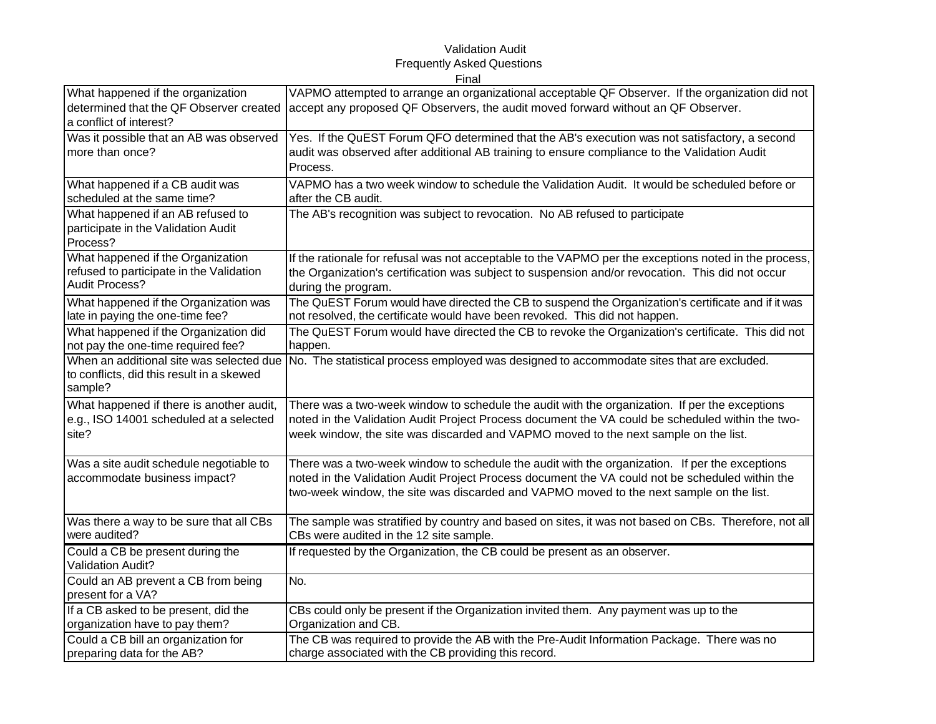## Validation Audit Frequently Asked Questions Final

| What happened if the organization                                                                | VAPMO attempted to arrange an organizational acceptable QF Observer. If the organization did not                                                                                                                                                                                             |
|--------------------------------------------------------------------------------------------------|----------------------------------------------------------------------------------------------------------------------------------------------------------------------------------------------------------------------------------------------------------------------------------------------|
| determined that the QF Observer created<br>a conflict of interest?                               | accept any proposed QF Observers, the audit moved forward without an QF Observer.                                                                                                                                                                                                            |
| Was it possible that an AB was observed<br>more than once?                                       | Yes. If the QuEST Forum QFO determined that the AB's execution was not satisfactory, a second<br>audit was observed after additional AB training to ensure compliance to the Validation Audit<br>Process.                                                                                    |
| What happened if a CB audit was                                                                  | VAPMO has a two week window to schedule the Validation Audit. It would be scheduled before or                                                                                                                                                                                                |
| scheduled at the same time?                                                                      | after the CB audit.                                                                                                                                                                                                                                                                          |
| What happened if an AB refused to<br>participate in the Validation Audit<br>Process?             | The AB's recognition was subject to revocation. No AB refused to participate                                                                                                                                                                                                                 |
| What happened if the Organization                                                                | If the rationale for refusal was not acceptable to the VAPMO per the exceptions noted in the process,                                                                                                                                                                                        |
| refused to participate in the Validation                                                         | the Organization's certification was subject to suspension and/or revocation. This did not occur                                                                                                                                                                                             |
| <b>Audit Process?</b>                                                                            | during the program.                                                                                                                                                                                                                                                                          |
| What happened if the Organization was                                                            | The QuEST Forum would have directed the CB to suspend the Organization's certificate and if it was                                                                                                                                                                                           |
| late in paying the one-time fee?                                                                 | not resolved, the certificate would have been revoked. This did not happen.                                                                                                                                                                                                                  |
| What happened if the Organization did                                                            | The QuEST Forum would have directed the CB to revoke the Organization's certificate. This did not                                                                                                                                                                                            |
| not pay the one-time required fee?                                                               | happen.                                                                                                                                                                                                                                                                                      |
| When an additional site was selected due<br>to conflicts, did this result in a skewed<br>sample? | No. The statistical process employed was designed to accommodate sites that are excluded.                                                                                                                                                                                                    |
| What happened if there is another audit,                                                         | There was a two-week window to schedule the audit with the organization. If per the exceptions                                                                                                                                                                                               |
| e.g., ISO 14001 scheduled at a selected                                                          | noted in the Validation Audit Project Process document the VA could be scheduled within the two-                                                                                                                                                                                             |
| site?                                                                                            | week window, the site was discarded and VAPMO moved to the next sample on the list.                                                                                                                                                                                                          |
| Was a site audit schedule negotiable to<br>accommodate business impact?                          | There was a two-week window to schedule the audit with the organization. If per the exceptions<br>noted in the Validation Audit Project Process document the VA could not be scheduled within the<br>two-week window, the site was discarded and VAPMO moved to the next sample on the list. |
| Was there a way to be sure that all CBs                                                          | The sample was stratified by country and based on sites, it was not based on CBs. Therefore, not all                                                                                                                                                                                         |
| were audited?                                                                                    | CBs were audited in the 12 site sample.                                                                                                                                                                                                                                                      |
| Could a CB be present during the<br>Validation Audit?                                            | If requested by the Organization, the CB could be present as an observer.                                                                                                                                                                                                                    |
| Could an AB prevent a CB from being<br>present for a VA?                                         | No.                                                                                                                                                                                                                                                                                          |
| If a CB asked to be present, did the                                                             | CBs could only be present if the Organization invited them. Any payment was up to the                                                                                                                                                                                                        |
| organization have to pay them?                                                                   | Organization and CB.                                                                                                                                                                                                                                                                         |
| Could a CB bill an organization for                                                              | The CB was required to provide the AB with the Pre-Audit Information Package. There was no                                                                                                                                                                                                   |
| preparing data for the AB?                                                                       | charge associated with the CB providing this record.                                                                                                                                                                                                                                         |